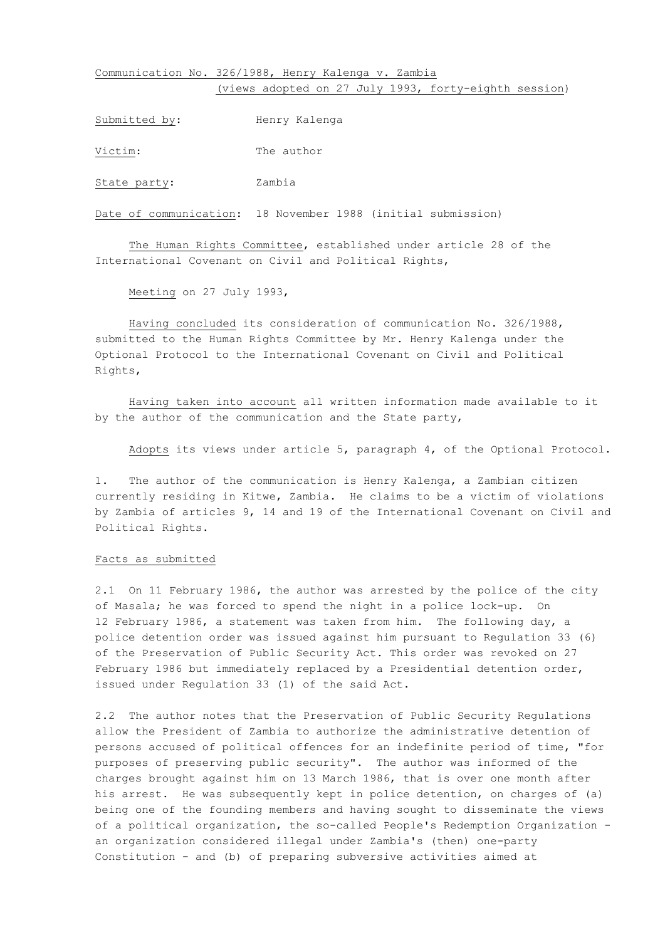## Communication No. 326/1988, Henry Kalenga v. Zambia (views adopted on 27 July 1993, forty-eighth session)

Submitted by: Henry Kalenga

Victim: The author

State party: Zambia

Date of communication: 18 November 1988 (initial submission)

The Human Rights Committee, established under article 28 of the International Covenant on Civil and Political Rights,

Meeting on 27 July 1993,

Having concluded its consideration of communication No. 326/1988, submitted to the Human Rights Committee by Mr. Henry Kalenga under the Optional Protocol to the International Covenant on Civil and Political Rights,

Having taken into account all written information made available to it by the author of the communication and the State party,

Adopts its views under article 5, paragraph 4, of the Optional Protocol.

1. The author of the communication is Henry Kalenga, a Zambian citizen currently residing in Kitwe, Zambia. He claims to be a victim of violations by Zambia of articles 9, 14 and 19 of the International Covenant on Civil and Political Rights.

### Facts as submitted

2.1 On 11 February 1986, the author was arrested by the police of the city of Masala; he was forced to spend the night in a police lock-up. On 12 February 1986, a statement was taken from him. The following day, a police detention order was issued against him pursuant to Regulation 33 (6) of the Preservation of Public Security Act. This order was revoked on 27 February 1986 but immediately replaced by a Presidential detention order, issued under Regulation 33 (1) of the said Act.

2.2 The author notes that the Preservation of Public Security Regulations allow the President of Zambia to authorize the administrative detention of persons accused of political offences for an indefinite period of time, "for purposes of preserving public security". The author was informed of the charges brought against him on 13 March 1986, that is over one month after his arrest. He was subsequently kept in police detention, on charges of (a) being one of the founding members and having sought to disseminate the views of a political organization, the so-called People's Redemption Organization an organization considered illegal under Zambia's (then) one-party Constitution - and (b) of preparing subversive activities aimed at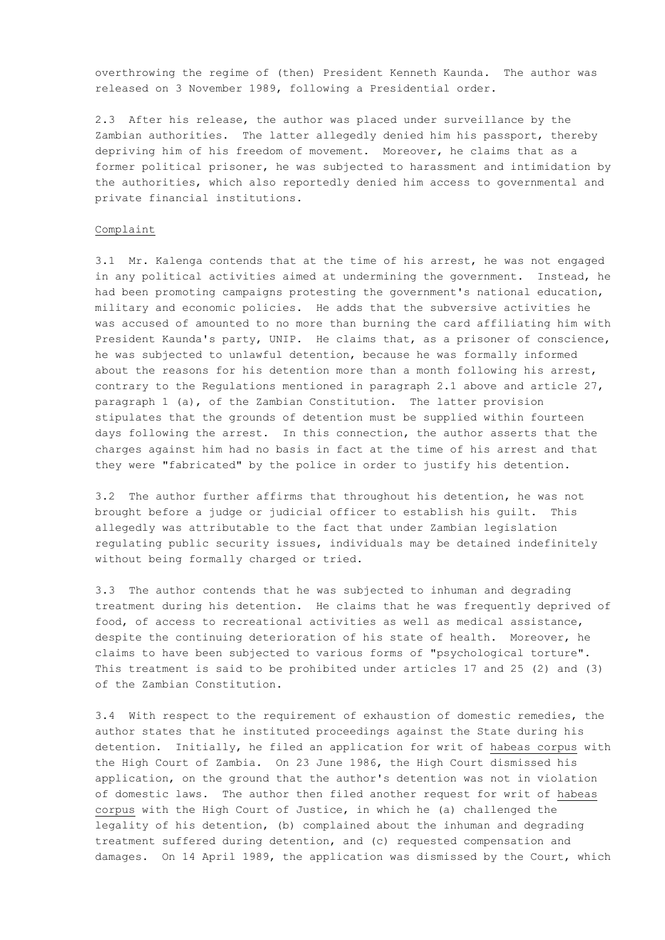overthrowing the regime of (then) President Kenneth Kaunda. The author was released on 3 November 1989, following a Presidential order.

2.3 After his release, the author was placed under surveillance by the Zambian authorities. The latter allegedly denied him his passport, thereby depriving him of his freedom of movement. Moreover, he claims that as a former political prisoner, he was subjected to harassment and intimidation by the authorities, which also reportedly denied him access to governmental and private financial institutions.

#### Complaint

3.1 Mr. Kalenga contends that at the time of his arrest, he was not engaged in any political activities aimed at undermining the government. Instead, he had been promoting campaigns protesting the government's national education, military and economic policies. He adds that the subversive activities he was accused of amounted to no more than burning the card affiliating him with President Kaunda's party, UNIP. He claims that, as a prisoner of conscience, he was subjected to unlawful detention, because he was formally informed about the reasons for his detention more than a month following his arrest, contrary to the Regulations mentioned in paragraph 2.1 above and article 27, paragraph 1 (a), of the Zambian Constitution. The latter provision stipulates that the grounds of detention must be supplied within fourteen days following the arrest. In this connection, the author asserts that the charges against him had no basis in fact at the time of his arrest and that they were "fabricated" by the police in order to justify his detention.

3.2 The author further affirms that throughout his detention, he was not brought before a judge or judicial officer to establish his guilt. This allegedly was attributable to the fact that under Zambian legislation regulating public security issues, individuals may be detained indefinitely without being formally charged or tried.

3.3 The author contends that he was subjected to inhuman and degrading treatment during his detention. He claims that he was frequently deprived of food, of access to recreational activities as well as medical assistance, despite the continuing deterioration of his state of health. Moreover, he claims to have been subjected to various forms of "psychological torture". This treatment is said to be prohibited under articles 17 and 25 (2) and (3) of the Zambian Constitution.

3.4 With respect to the requirement of exhaustion of domestic remedies, the author states that he instituted proceedings against the State during his detention. Initially, he filed an application for writ of habeas corpus with the High Court of Zambia. On 23 June 1986, the High Court dismissed his application, on the ground that the author's detention was not in violation of domestic laws. The author then filed another request for writ of habeas corpus with the High Court of Justice, in which he (a) challenged the legality of his detention, (b) complained about the inhuman and degrading treatment suffered during detention, and (c) requested compensation and damages. On 14 April 1989, the application was dismissed by the Court, which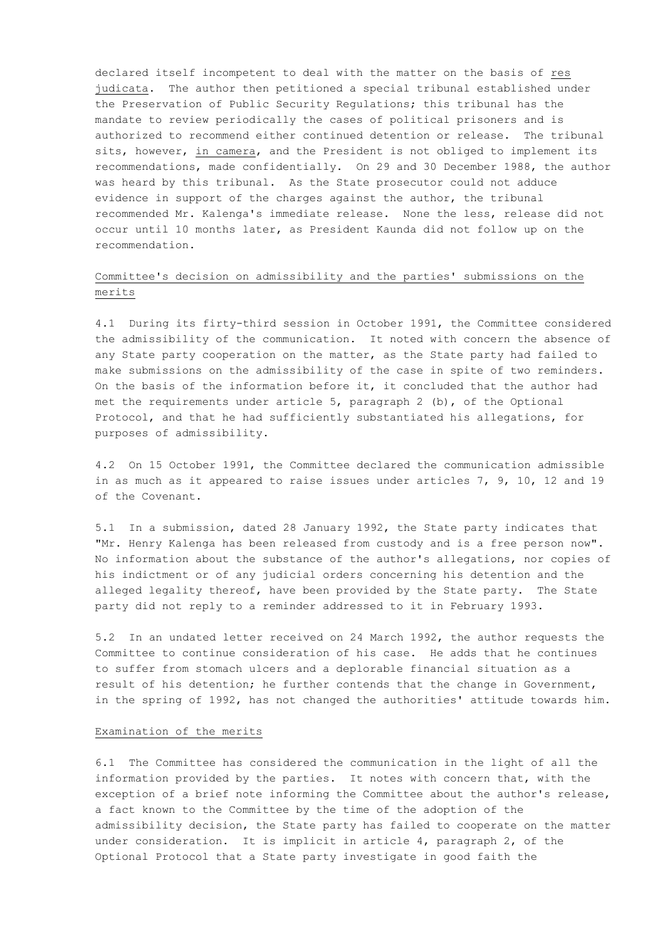declared itself incompetent to deal with the matter on the basis of res judicata. The author then petitioned a special tribunal established under the Preservation of Public Security Regulations; this tribunal has the mandate to review periodically the cases of political prisoners and is authorized to recommend either continued detention or release. The tribunal sits, however, in camera, and the President is not obliged to implement its recommendations, made confidentially. On 29 and 30 December 1988, the author was heard by this tribunal. As the State prosecutor could not adduce evidence in support of the charges against the author, the tribunal recommended Mr. Kalenga's immediate release. None the less, release did not occur until 10 months later, as President Kaunda did not follow up on the recommendation.

# Committee's decision on admissibility and the parties' submissions on the merits

4.1 During its firty-third session in October 1991, the Committee considered the admissibility of the communication. It noted with concern the absence of any State party cooperation on the matter, as the State party had failed to make submissions on the admissibility of the case in spite of two reminders. On the basis of the information before it, it concluded that the author had met the requirements under article 5, paragraph 2 (b), of the Optional Protocol, and that he had sufficiently substantiated his allegations, for purposes of admissibility.

4.2 On 15 October 1991, the Committee declared the communication admissible in as much as it appeared to raise issues under articles 7, 9, 10, 12 and 19 of the Covenant.

5.1 In a submission, dated 28 January 1992, the State party indicates that "Mr. Henry Kalenga has been released from custody and is a free person now". No information about the substance of the author's allegations, nor copies of his indictment or of any judicial orders concerning his detention and the alleged legality thereof, have been provided by the State party. The State party did not reply to a reminder addressed to it in February 1993.

5.2 In an undated letter received on 24 March 1992, the author requests the Committee to continue consideration of his case. He adds that he continues to suffer from stomach ulcers and a deplorable financial situation as a result of his detention; he further contends that the change in Government, in the spring of 1992, has not changed the authorities' attitude towards him.

#### Examination of the merits

6.1 The Committee has considered the communication in the light of all the information provided by the parties. It notes with concern that, with the exception of a brief note informing the Committee about the author's release, a fact known to the Committee by the time of the adoption of the admissibility decision, the State party has failed to cooperate on the matter under consideration. It is implicit in article 4, paragraph 2, of the Optional Protocol that a State party investigate in good faith the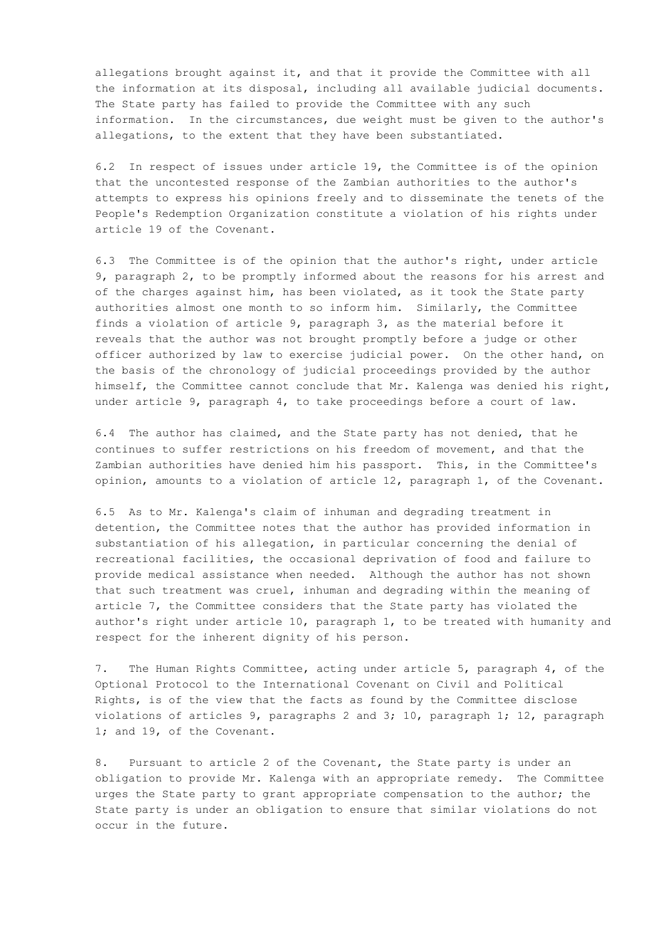allegations brought against it, and that it provide the Committee with all the information at its disposal, including all available judicial documents. The State party has failed to provide the Committee with any such information. In the circumstances, due weight must be given to the author's allegations, to the extent that they have been substantiated.

6.2 In respect of issues under article 19, the Committee is of the opinion that the uncontested response of the Zambian authorities to the author's attempts to express his opinions freely and to disseminate the tenets of the People's Redemption Organization constitute a violation of his rights under article 19 of the Covenant.

6.3 The Committee is of the opinion that the author's right, under article 9, paragraph 2, to be promptly informed about the reasons for his arrest and of the charges against him, has been violated, as it took the State party authorities almost one month to so inform him. Similarly, the Committee finds a violation of article 9, paragraph 3, as the material before it reveals that the author was not brought promptly before a judge or other officer authorized by law to exercise judicial power. On the other hand, on the basis of the chronology of judicial proceedings provided by the author himself, the Committee cannot conclude that Mr. Kalenga was denied his right, under article 9, paragraph 4, to take proceedings before a court of law.

6.4 The author has claimed, and the State party has not denied, that he continues to suffer restrictions on his freedom of movement, and that the Zambian authorities have denied him his passport. This, in the Committee's opinion, amounts to a violation of article 12, paragraph 1, of the Covenant.

6.5 As to Mr. Kalenga's claim of inhuman and degrading treatment in detention, the Committee notes that the author has provided information in substantiation of his allegation, in particular concerning the denial of recreational facilities, the occasional deprivation of food and failure to provide medical assistance when needed. Although the author has not shown that such treatment was cruel, inhuman and degrading within the meaning of article 7, the Committee considers that the State party has violated the author's right under article 10, paragraph 1, to be treated with humanity and respect for the inherent dignity of his person.

7. The Human Rights Committee, acting under article 5, paragraph 4, of the Optional Protocol to the International Covenant on Civil and Political Rights, is of the view that the facts as found by the Committee disclose violations of articles 9, paragraphs 2 and 3; 10, paragraph 1; 12, paragraph 1; and 19, of the Covenant.

8. Pursuant to article 2 of the Covenant, the State party is under an obligation to provide Mr. Kalenga with an appropriate remedy. The Committee urges the State party to grant appropriate compensation to the author; the State party is under an obligation to ensure that similar violations do not occur in the future.